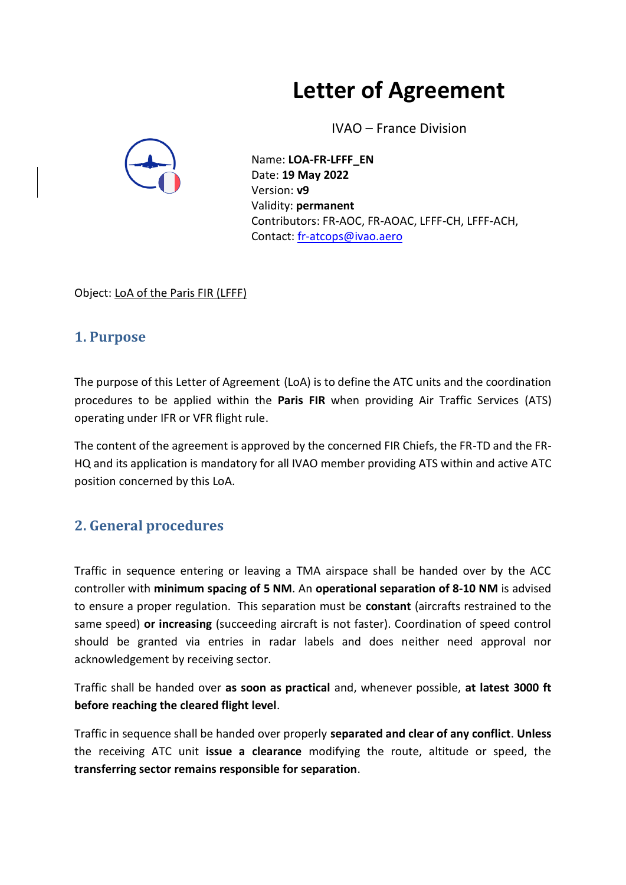# **Letter of Agreement**

IVAO – France Division



Name: **LOA-FR-LFFF\_EN** Date: **19 May 2022** Version: **v9** Validity: **permanent** Contributors: FR-AOC, FR-AOAC, LFFF-CH, LFFF-ACH, Contact: [fr-atcops@ivao.aero](mailto:fr-atcops@ivao.aero)

Object: LoA of the Paris FIR (LFFF)

### **1. Purpose**

The purpose of this Letter of Agreement (LoA) is to define the ATC units and the coordination procedures to be applied within the **Paris FIR** when providing Air Traffic Services (ATS) operating under IFR or VFR flight rule.

The content of the agreement is approved by the concerned FIR Chiefs, the FR-TD and the FR-HQ and its application is mandatory for all IVAO member providing ATS within and active ATC position concerned by this LoA.

## **2. General procedures**

Traffic in sequence entering or leaving a TMA airspace shall be handed over by the ACC controller with **minimum spacing of 5 NM**. An **operational separation of 8-10 NM** is advised to ensure a proper regulation. This separation must be **constant** (aircrafts restrained to the same speed) **or increasing** (succeeding aircraft is not faster). Coordination of speed control should be granted via entries in radar labels and does neither need approval nor acknowledgement by receiving sector.

Traffic shall be handed over **as soon as practical** and, whenever possible, **at latest 3000 ft before reaching the cleared flight level**.

Traffic in sequence shall be handed over properly **separated and clear of any conflict**. **Unless**  the receiving ATC unit **issue a clearance** modifying the route, altitude or speed, the **transferring sector remains responsible for separation**.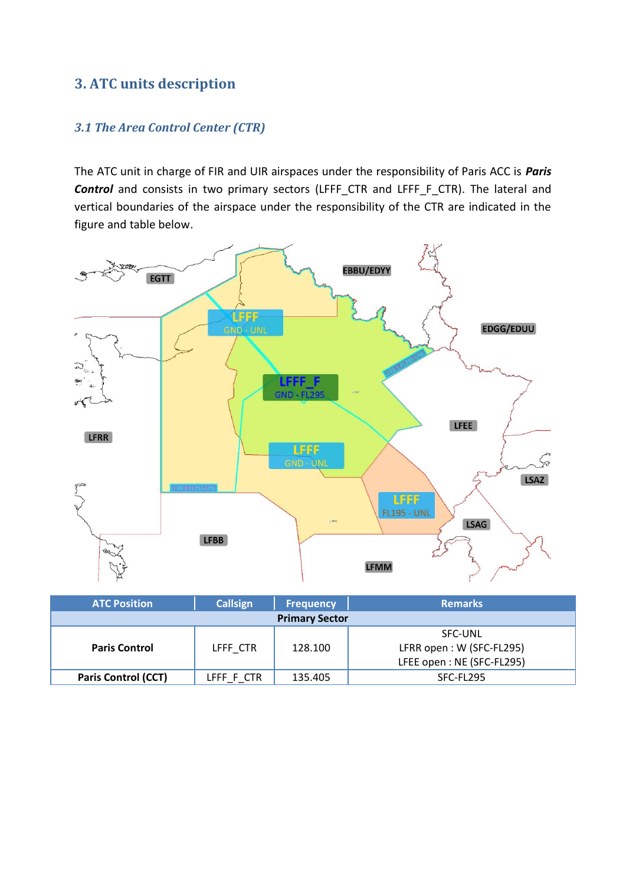## **3. ATC units description**

#### *3.1 The Area Control Center (CTR)*

The ATC unit in charge of FIR and UIR airspaces under the responsibility of Paris ACC is *Paris* **Control** and consists in two primary sectors (LFFF CTR and LFFF F CTR). The lateral and vertical boundaries of the airspace under the responsibility of the CTR are indicated in the figure and table below.



| <b>ATC Position</b>        | Callsign   | <b>Frequency</b> | <b>Remarks</b>            |  |  |  |  |
|----------------------------|------------|------------------|---------------------------|--|--|--|--|
| <b>Primary Sector</b>      |            |                  |                           |  |  |  |  |
|                            |            |                  | <b>SFC-UNL</b>            |  |  |  |  |
| <b>Paris Control</b>       | LFFF CTR   | 128.100          | LFRR open: W (SFC-FL295)  |  |  |  |  |
|                            |            |                  | LFEE open: NE (SFC-FL295) |  |  |  |  |
| <b>Paris Control (CCT)</b> | LFFF F CTR | 135.405          | SFC-FL295                 |  |  |  |  |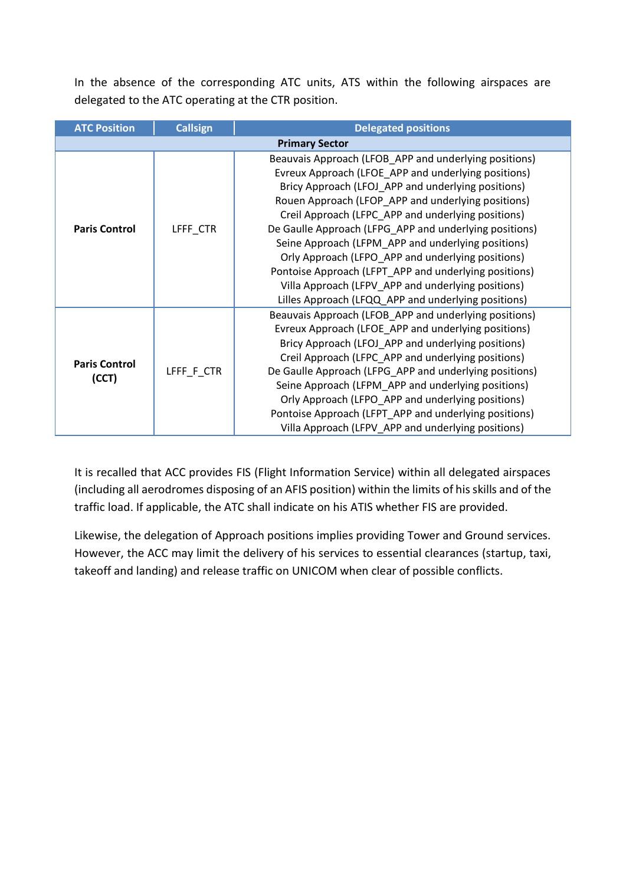In the absence of the corresponding ATC units, ATS within the following airspaces are delegated to the ATC operating at the CTR position.

| <b>ATC Position</b>   | <b>Callsign</b> | <b>Delegated positions</b>                                                                                                                                                                                                                                                                                                                                                                                                                          |  |  |  |  |
|-----------------------|-----------------|-----------------------------------------------------------------------------------------------------------------------------------------------------------------------------------------------------------------------------------------------------------------------------------------------------------------------------------------------------------------------------------------------------------------------------------------------------|--|--|--|--|
| <b>Primary Sector</b> |                 |                                                                                                                                                                                                                                                                                                                                                                                                                                                     |  |  |  |  |
|                       |                 | Beauvais Approach (LFOB_APP and underlying positions)                                                                                                                                                                                                                                                                                                                                                                                               |  |  |  |  |
|                       |                 | Evreux Approach (LFOE APP and underlying positions)                                                                                                                                                                                                                                                                                                                                                                                                 |  |  |  |  |
|                       |                 | Bricy Approach (LFOJ_APP and underlying positions)                                                                                                                                                                                                                                                                                                                                                                                                  |  |  |  |  |
|                       |                 | Rouen Approach (LFOP_APP and underlying positions)<br>Creil Approach (LFPC_APP and underlying positions)<br>De Gaulle Approach (LFPG_APP and underlying positions)<br>Seine Approach (LFPM APP and underlying positions)<br>Orly Approach (LFPO_APP and underlying positions)<br>Pontoise Approach (LFPT_APP and underlying positions)<br>Villa Approach (LFPV_APP and underlying positions)<br>Lilles Approach (LFQQ_APP and underlying positions) |  |  |  |  |
|                       |                 |                                                                                                                                                                                                                                                                                                                                                                                                                                                     |  |  |  |  |
| <b>Paris Control</b>  | LFFF CTR        |                                                                                                                                                                                                                                                                                                                                                                                                                                                     |  |  |  |  |
|                       |                 |                                                                                                                                                                                                                                                                                                                                                                                                                                                     |  |  |  |  |
|                       |                 |                                                                                                                                                                                                                                                                                                                                                                                                                                                     |  |  |  |  |
|                       |                 |                                                                                                                                                                                                                                                                                                                                                                                                                                                     |  |  |  |  |
|                       |                 |                                                                                                                                                                                                                                                                                                                                                                                                                                                     |  |  |  |  |
|                       |                 |                                                                                                                                                                                                                                                                                                                                                                                                                                                     |  |  |  |  |
|                       |                 | Beauvais Approach (LFOB_APP and underlying positions)                                                                                                                                                                                                                                                                                                                                                                                               |  |  |  |  |
|                       |                 | Evreux Approach (LFOE APP and underlying positions)                                                                                                                                                                                                                                                                                                                                                                                                 |  |  |  |  |
|                       |                 | Bricy Approach (LFOJ_APP and underlying positions)                                                                                                                                                                                                                                                                                                                                                                                                  |  |  |  |  |
|                       |                 | Creil Approach (LFPC_APP and underlying positions)                                                                                                                                                                                                                                                                                                                                                                                                  |  |  |  |  |
| <b>Paris Control</b>  | LFFF_F_CTR      | De Gaulle Approach (LFPG_APP and underlying positions)                                                                                                                                                                                                                                                                                                                                                                                              |  |  |  |  |
| (CCT)                 |                 | Seine Approach (LFPM_APP and underlying positions)                                                                                                                                                                                                                                                                                                                                                                                                  |  |  |  |  |
|                       |                 | Orly Approach (LFPO_APP and underlying positions)                                                                                                                                                                                                                                                                                                                                                                                                   |  |  |  |  |
|                       |                 | Pontoise Approach (LFPT_APP and underlying positions)                                                                                                                                                                                                                                                                                                                                                                                               |  |  |  |  |
|                       |                 | Villa Approach (LFPV_APP and underlying positions)                                                                                                                                                                                                                                                                                                                                                                                                  |  |  |  |  |

It is recalled that ACC provides FIS (Flight Information Service) within all delegated airspaces (including all aerodromes disposing of an AFIS position) within the limits of his skills and of the traffic load. If applicable, the ATC shall indicate on his ATIS whether FIS are provided.

Likewise, the delegation of Approach positions implies providing Tower and Ground services. However, the ACC may limit the delivery of his services to essential clearances (startup, taxi, takeoff and landing) and release traffic on UNICOM when clear of possible conflicts.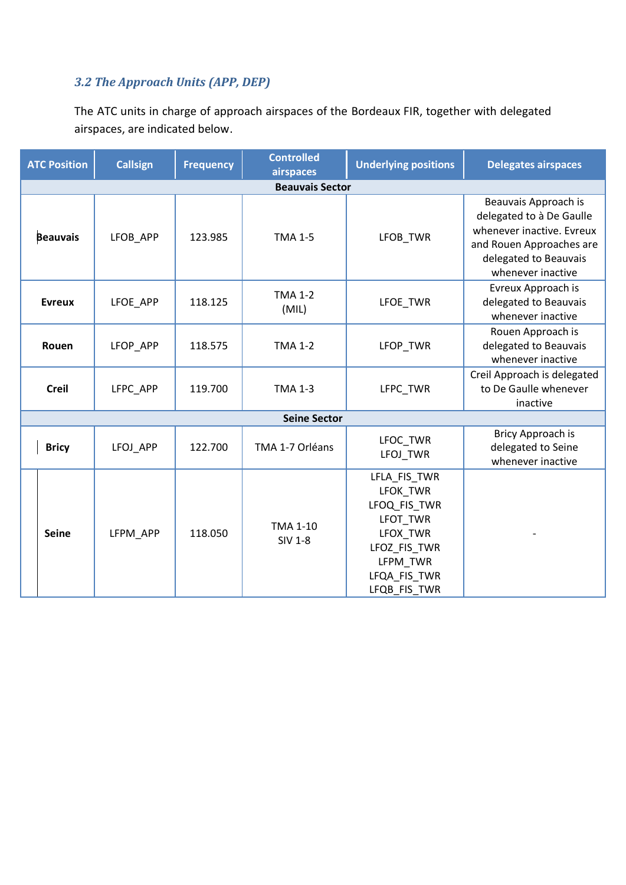#### *3.2 The Approach Units (APP, DEP)*

The ATC units in charge of approach airspaces of the Bordeaux FIR, together with delegated airspaces, are indicated below.

| <b>ATC Position</b>    | <b>Callsign</b> | <b>Frequency</b> | <b>Controlled</b><br>airspaces    | <b>Underlying positions</b>                                                                                                  | <b>Delegates airspaces</b>                                                                                                                              |  |  |  |
|------------------------|-----------------|------------------|-----------------------------------|------------------------------------------------------------------------------------------------------------------------------|---------------------------------------------------------------------------------------------------------------------------------------------------------|--|--|--|
| <b>Beauvais Sector</b> |                 |                  |                                   |                                                                                                                              |                                                                                                                                                         |  |  |  |
| <b>Beauvais</b>        | LFOB_APP        | 123.985          | <b>TMA 1-5</b>                    | LFOB_TWR                                                                                                                     | Beauvais Approach is<br>delegated to à De Gaulle<br>whenever inactive. Evreux<br>and Rouen Approaches are<br>delegated to Beauvais<br>whenever inactive |  |  |  |
| <b>Evreux</b>          | LFOE_APP        | 118.125          | <b>TMA 1-2</b><br>(MIL)           | LFOE_TWR                                                                                                                     | Evreux Approach is<br>delegated to Beauvais<br>whenever inactive                                                                                        |  |  |  |
| Rouen                  | LFOP_APP        | 118.575          | <b>TMA 1-2</b>                    | LFOP_TWR                                                                                                                     | Rouen Approach is<br>delegated to Beauvais<br>whenever inactive                                                                                         |  |  |  |
| <b>Creil</b>           | LFPC_APP        | 119.700          | <b>TMA 1-3</b>                    | LFPC_TWR                                                                                                                     | Creil Approach is delegated<br>to De Gaulle whenever<br>inactive                                                                                        |  |  |  |
|                        |                 |                  |                                   |                                                                                                                              |                                                                                                                                                         |  |  |  |
| <b>Bricy</b>           | LFOJ_APP        | 122.700          | TMA 1-7 Orléans                   | LFOC_TWR<br>LFOJ TWR                                                                                                         | Bricy Approach is<br>delegated to Seine<br>whenever inactive                                                                                            |  |  |  |
| <b>Seine</b>           | LFPM APP        | 118.050          | <b>TMA 1-10</b><br><b>SIV 1-8</b> | LFLA_FIS_TWR<br>LFOK TWR<br>LFOQ FIS TWR<br>LFOT_TWR<br>LFOX_TWR<br>LFOZ_FIS_TWR<br>LFPM_TWR<br>LFQA_FIS_TWR<br>LFQB FIS TWR |                                                                                                                                                         |  |  |  |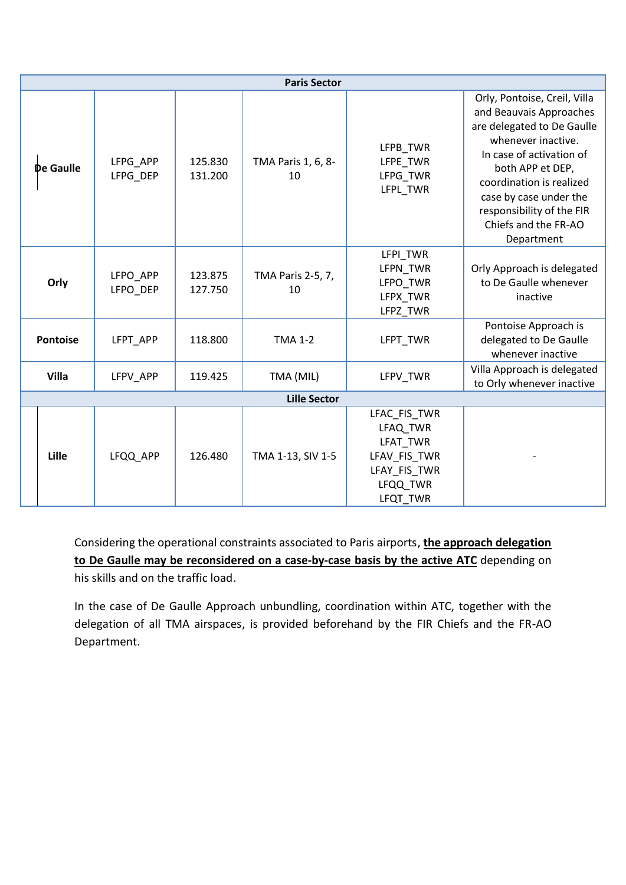| <b>Paris Sector</b> |                      |                    |                          |                                                                                                     |                                                                                                                                                                                                                                                                                      |  |  |
|---------------------|----------------------|--------------------|--------------------------|-----------------------------------------------------------------------------------------------------|--------------------------------------------------------------------------------------------------------------------------------------------------------------------------------------------------------------------------------------------------------------------------------------|--|--|
| De Gaulle           | LFPG_APP<br>LFPG DEP | 125.830<br>131.200 | TMA Paris 1, 6, 8-<br>10 | LFPB_TWR<br>LFPE_TWR<br>LFPG_TWR<br>LFPL TWR                                                        | Orly, Pontoise, Creil, Villa<br>and Beauvais Approaches<br>are delegated to De Gaulle<br>whenever inactive.<br>In case of activation of<br>both APP et DEP,<br>coordination is realized<br>case by case under the<br>responsibility of the FIR<br>Chiefs and the FR-AO<br>Department |  |  |
| Orly                | LFPO APP<br>LFPO DEP | 123.875<br>127.750 | TMA Paris 2-5, 7,<br>10  | LFPI TWR<br>LFPN TWR<br>LFPO TWR<br>LFPX_TWR<br>LFPZ_TWR                                            | Orly Approach is delegated<br>to De Gaulle whenever<br>inactive                                                                                                                                                                                                                      |  |  |
| <b>Pontoise</b>     | LFPT APP             | 118.800            | <b>TMA 1-2</b>           | LFPT TWR                                                                                            | Pontoise Approach is<br>delegated to De Gaulle<br>whenever inactive                                                                                                                                                                                                                  |  |  |
| Villa               | LFPV APP             | 119.425            | TMA (MIL)                | LFPV TWR                                                                                            | Villa Approach is delegated<br>to Orly whenever inactive                                                                                                                                                                                                                             |  |  |
| <b>Lille Sector</b> |                      |                    |                          |                                                                                                     |                                                                                                                                                                                                                                                                                      |  |  |
| Lille               | LFQQ_APP             | 126.480            | TMA 1-13, SIV 1-5        | LFAC_FIS_TWR<br>LFAQ TWR<br><b>LFAT TWR</b><br>LFAV_FIS_TWR<br>LFAY_FIS_TWR<br>LFQQ TWR<br>LFQT TWR |                                                                                                                                                                                                                                                                                      |  |  |

Considering the operational constraints associated to Paris airports, **the approach delegation to De Gaulle may be reconsidered on a case-by-case basis by the active ATC** depending on his skills and on the traffic load.

In the case of De Gaulle Approach unbundling, coordination within ATC, together with the delegation of all TMA airspaces, is provided beforehand by the FIR Chiefs and the FR-AO Department.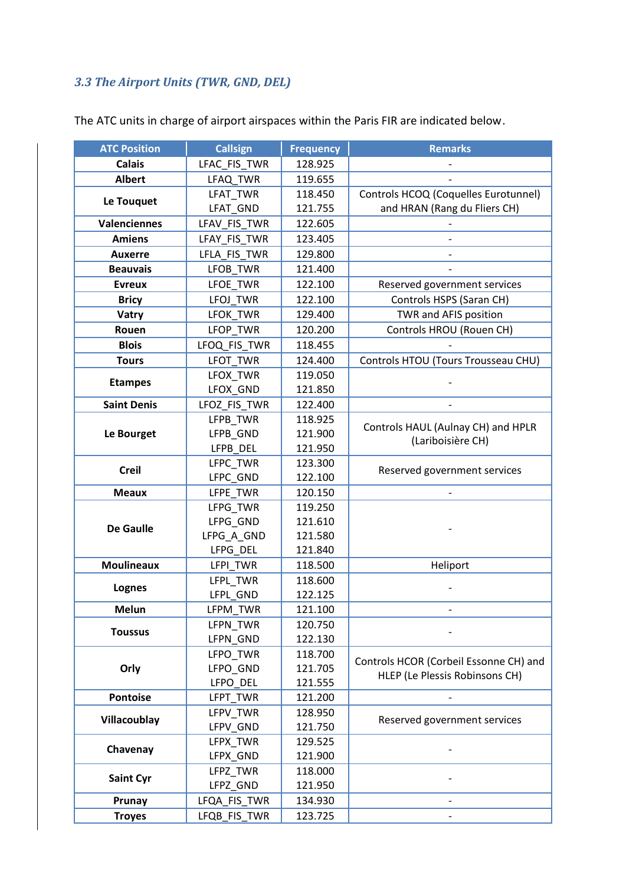## *3.3 The Airport Units (TWR, GND, DEL)*

| <b>ATC Position</b> | <b>Callsign</b>      | <b>Frequency</b>   | <b>Remarks</b>                         |
|---------------------|----------------------|--------------------|----------------------------------------|
| <b>Calais</b>       | LFAC_FIS_TWR         | 128.925            |                                        |
| <b>Albert</b>       | LFAQ_TWR             | 119.655            |                                        |
|                     | LFAT TWR             | 118.450            | Controls HCOQ (Coquelles Eurotunnel)   |
| Le Touquet          | LFAT GND             | 121.755            | and HRAN (Rang du Fliers CH)           |
| Valenciennes        | LFAV_FIS_TWR         | 122.605            |                                        |
| <b>Amiens</b>       | LFAY_FIS_TWR         | 123.405            |                                        |
| <b>Auxerre</b>      | LFLA_FIS_TWR         | 129.800            |                                        |
| <b>Beauvais</b>     | LFOB TWR             | 121.400            |                                        |
| <b>Evreux</b>       | LFOE_TWR             | 122.100            | Reserved government services           |
| <b>Bricy</b>        | LFOJ_TWR             | 122.100            | Controls HSPS (Saran CH)               |
| Vatry               | LFOK_TWR             | 129.400            | TWR and AFIS position                  |
| Rouen               | LFOP_TWR             | 120.200            | Controls HROU (Rouen CH)               |
| <b>Blois</b>        | LFOQ_FIS_TWR         | 118.455            |                                        |
| <b>Tours</b>        | LFOT_TWR             | 124.400            | Controls HTOU (Tours Trousseau CHU)    |
|                     | LFOX TWR             | 119.050            |                                        |
| <b>Etampes</b>      | LFOX_GND             | 121.850            |                                        |
| <b>Saint Denis</b>  | LFOZ_FIS_TWR         | 122.400            |                                        |
|                     | LFPB_TWR             | 118.925            | Controls HAUL (Aulnay CH) and HPLR     |
| Le Bourget          | LFPB_GND             | 121.900            | (Lariboisière CH)                      |
|                     | LFPB DEL             | 121.950            |                                        |
| <b>Creil</b>        | LFPC TWR             | 123.300            | Reserved government services           |
|                     | LFPC_GND             | 122.100            |                                        |
| <b>Meaux</b>        | LFPE_TWR             | 120.150            |                                        |
|                     | LFPG_TWR             | 119.250            |                                        |
| <b>De Gaulle</b>    | LFPG_GND             | 121.610            |                                        |
|                     | LFPG_A_GND           | 121.580            |                                        |
|                     | LFPG_DEL             | 121.840            |                                        |
| <b>Moulineaux</b>   | LFPI TWR             | 118.500            | Heliport                               |
| Lognes              | LFPL TWR             | 118.600            |                                        |
| <b>Melun</b>        | LFPL_GND<br>LFPM_TWR | 122.125<br>121.100 |                                        |
|                     | LFPN TWR             | 120.750            |                                        |
| <b>Toussus</b>      | LFPN_GND             | 122.130            |                                        |
|                     | LFPO_TWR             | 118.700            |                                        |
| Orly                | LFPO_GND             | 121.705            | Controls HCOR (Corbeil Essonne CH) and |
|                     | LFPO_DEL             | 121.555            | HLEP (Le Plessis Robinsons CH)         |
| Pontoise            | LFPT TWR             | 121.200            |                                        |
|                     | LFPV TWR             | 128.950            |                                        |
| Villacoublay        | LFPV_GND             | 121.750            | Reserved government services           |
|                     | LFPX TWR             | 129.525            |                                        |
| Chavenay            | LFPX_GND             | 121.900            |                                        |
|                     | LFPZ_TWR             | 118.000            |                                        |
| <b>Saint Cyr</b>    | LFPZ_GND             | 121.950            |                                        |
| Prunay              | LFQA_FIS_TWR         | 134.930            |                                        |
| <b>Troyes</b>       | LFQB_FIS_TWR         | 123.725            |                                        |

The ATC units in charge of airport airspaces within the Paris FIR are indicated below.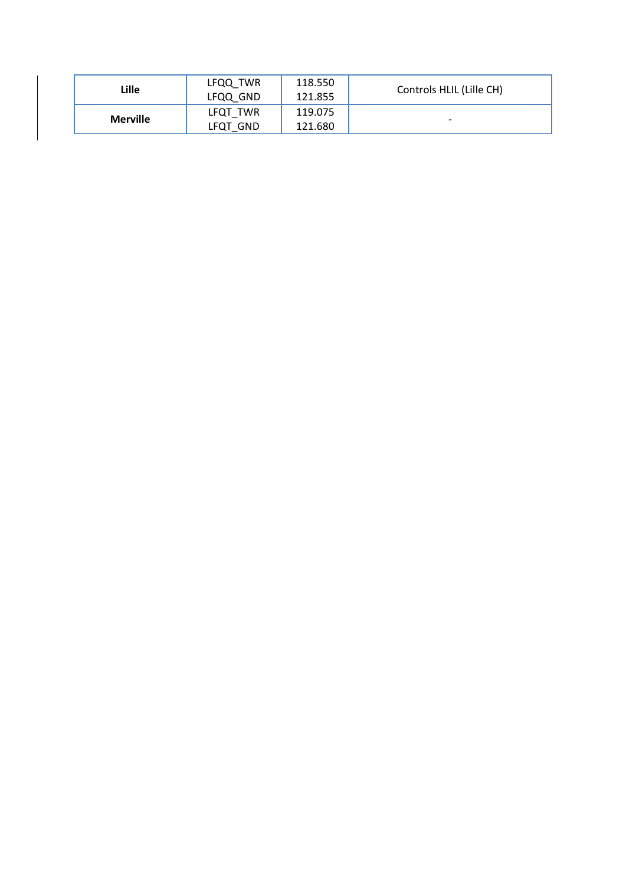| Lille           | LFQQ TWR<br>LFQQ GND | 118.550<br>121.855 | Controls HLIL (Lille CH) |
|-----------------|----------------------|--------------------|--------------------------|
| <b>Merville</b> | LFQT_TWR<br>LFQT GND | 119.075<br>121.680 | -                        |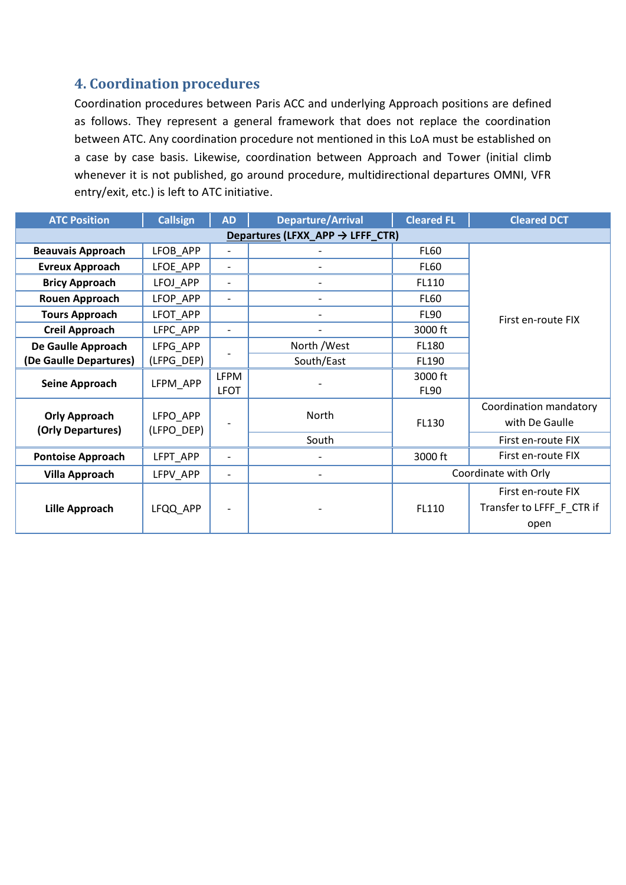#### **4. Coordination procedures**

Coordination procedures between Paris ACC and underlying Approach positions are defined as follows. They represent a general framework that does not replace the coordination between ATC. Any coordination procedure not mentioned in this LoA must be established on a case by case basis. Likewise, coordination between Approach and Tower (initial climb whenever it is not published, go around procedure, multidirectional departures OMNI, VFR entry/exit, etc.) is left to ATC initiative.

| <b>ATC Position</b>                          | <b>Callsign</b>        | <b>AD</b>                | <b>Departure/Arrival</b> | <b>Cleared FL</b>      | <b>Cleared DCT</b>        |  |
|----------------------------------------------|------------------------|--------------------------|--------------------------|------------------------|---------------------------|--|
| Departures (LFXX_APP $\rightarrow$ LFFF_CTR) |                        |                          |                          |                        |                           |  |
| <b>Beauvais Approach</b>                     | LFOB_APP               |                          |                          | <b>FL60</b>            |                           |  |
| <b>Evreux Approach</b>                       | LFOE APP               | $\overline{\phantom{a}}$ |                          | <b>FL60</b>            |                           |  |
| <b>Bricy Approach</b>                        | LFOJ APP               | $\overline{\phantom{a}}$ | -                        | FL110                  |                           |  |
| <b>Rouen Approach</b>                        | LFOP APP               | $\overline{\phantom{a}}$ | $\overline{\phantom{a}}$ | <b>FL60</b>            |                           |  |
| <b>Tours Approach</b>                        | LFOT APP               |                          |                          | <b>FL90</b>            | First en-route FIX        |  |
| <b>Creil Approach</b>                        | LFPC APP               | $\overline{\phantom{a}}$ |                          | 3000 ft                |                           |  |
| De Gaulle Approach                           | LFPG APP               |                          | North /West              | FL180                  |                           |  |
| (De Gaulle Departures)                       | (LFPG_DEP)             |                          | South/East               | FL190                  |                           |  |
| <b>Seine Approach</b>                        | LFPM_APP               | <b>LFPM</b>              |                          | 3000 ft                |                           |  |
|                                              |                        | <b>LFOT</b>              |                          | <b>FL90</b>            |                           |  |
|                                              |                        | North                    |                          | Coordination mandatory |                           |  |
| <b>Orly Approach</b><br>(Orly Departures)    | LFPO_APP<br>(LFPO_DEP) |                          |                          | FL130                  | with De Gaulle            |  |
|                                              |                        |                          | South                    |                        | First en-route FIX        |  |
| <b>Pontoise Approach</b>                     | LFPT_APP               | $\overline{\phantom{a}}$ |                          | 3000 ft                | First en-route FIX        |  |
| <b>Villa Approach</b>                        | LFPV APP               |                          | $\overline{\phantom{0}}$ | Coordinate with Orly   |                           |  |
|                                              |                        |                          |                          | FL110                  | First en-route FIX        |  |
| <b>Lille Approach</b>                        | LFQQ_APP               |                          |                          |                        | Transfer to LFFF F CTR if |  |
|                                              |                        |                          |                          |                        | open                      |  |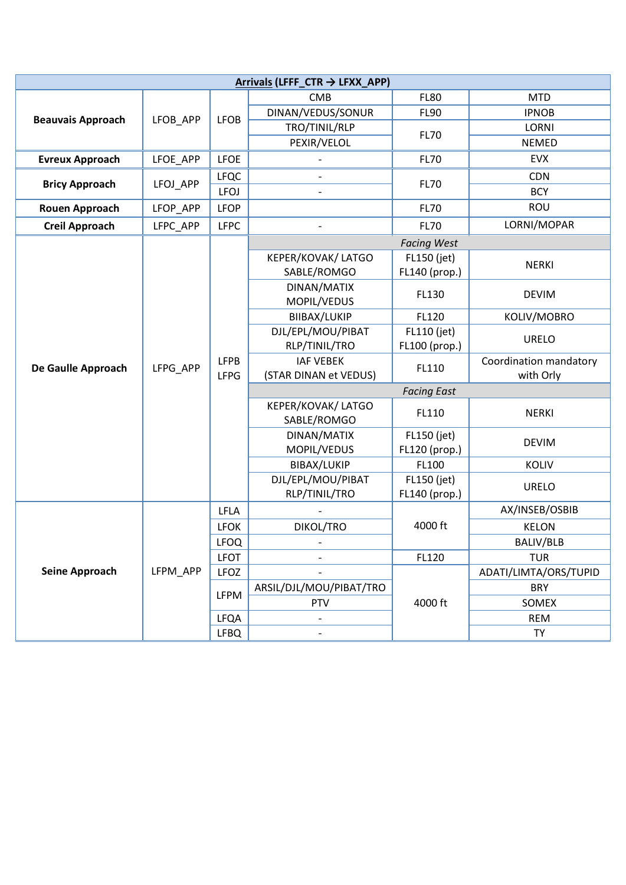| Arrivals (LFFF_CTR $\rightarrow$ LFXX_APP) |          |             |                              |                              |                       |  |
|--------------------------------------------|----------|-------------|------------------------------|------------------------------|-----------------------|--|
| <b>Beauvais Approach</b>                   |          |             | <b>CMB</b>                   | <b>FL80</b>                  | <b>MTD</b>            |  |
|                                            | LFOB_APP | <b>LFOB</b> | DINAN/VEDUS/SONUR            | <b>FL90</b>                  | <b>IPNOB</b>          |  |
|                                            |          |             | TRO/TINIL/RLP                |                              | LORNI                 |  |
|                                            |          |             | PEXIR/VELOL                  | <b>FL70</b>                  | <b>NEMED</b>          |  |
| <b>Evreux Approach</b>                     | LFOE_APP | <b>LFOE</b> |                              | <b>FL70</b>                  | <b>EVX</b>            |  |
|                                            | LFOJ APP | <b>LFQC</b> | $\qquad \qquad \blacksquare$ | <b>FL70</b>                  | <b>CDN</b>            |  |
| <b>Bricy Approach</b>                      |          | <b>LFOJ</b> |                              |                              | <b>BCY</b>            |  |
| <b>Rouen Approach</b>                      | LFOP_APP | <b>LFOP</b> |                              | <b>FL70</b>                  | ROU                   |  |
| <b>Creil Approach</b>                      | LFPC_APP | <b>LFPC</b> |                              | <b>FL70</b>                  | LORNI/MOPAR           |  |
|                                            |          |             |                              | <b>Facing West</b>           |                       |  |
|                                            |          |             | KEPER/KOVAK/ LATGO           | FL150 (jet)                  |                       |  |
|                                            |          |             | SABLE/ROMGO                  | FL140 (prop.)                | <b>NERKI</b>          |  |
|                                            |          |             | DINAN/MATIX                  | FL130                        | <b>DEVIM</b>          |  |
|                                            |          |             | MOPIL/VEDUS                  |                              |                       |  |
| De Gaulle Approach                         |          |             | BIIBAX/LUKIP                 | FL120                        | KOLIV/MOBRO           |  |
|                                            |          |             | DJL/EPL/MOU/PIBAT            |                              | <b>URELO</b>          |  |
|                                            |          |             | RLP/TINIL/TRO                | FL110 (jet)<br>FL100 (prop.) |                       |  |
|                                            | LFPG APP | <b>LFPB</b> | <b>IAF VEBEK</b><br>FL110    | Coordination mandatory       |                       |  |
|                                            |          | <b>LFPG</b> | (STAR DINAN et VEDUS)        | with Orly                    |                       |  |
|                                            |          |             | <b>Facing East</b>           |                              |                       |  |
|                                            |          |             | SABLE/ROMGO                  | KEPER/KOVAK/ LATGO<br>FL110  | <b>NERKI</b>          |  |
|                                            |          |             | DINAN/MATIX                  | FL150 (jet)                  | <b>DEVIM</b>          |  |
|                                            |          |             | MOPIL/VEDUS                  | FL120 (prop.)                |                       |  |
|                                            |          |             | BIBAX/LUKIP                  | FL100                        | KOLIV                 |  |
|                                            |          |             | DJL/EPL/MOU/PIBAT            | FL150 (jet)                  |                       |  |
|                                            |          |             | RLP/TINIL/TRO                | FL140 (prop.)                | <b>URELO</b>          |  |
|                                            |          | <b>LFLA</b> |                              |                              | AX/INSEB/OSBIB        |  |
|                                            |          | <b>LFOK</b> | DIKOL/TRO                    | 4000 ft                      | <b>KELON</b>          |  |
|                                            |          | <b>LFOQ</b> |                              |                              | BALIV/BLB             |  |
|                                            |          | <b>LFOT</b> |                              | FL120                        | <b>TUR</b>            |  |
| <b>Seine Approach</b>                      | LFPM_APP | LFOZ        |                              |                              | ADATI/LIMTA/ORS/TUPID |  |
|                                            |          |             | ARSIL/DJL/MOU/PIBAT/TRO      |                              | <b>BRY</b>            |  |
|                                            |          | LFPM        | <b>PTV</b>                   | 4000 ft                      | SOMEX                 |  |
|                                            |          | <b>LFQA</b> | $\qquad \qquad \blacksquare$ |                              | <b>REM</b>            |  |
|                                            |          | <b>LFBQ</b> |                              |                              | TY                    |  |